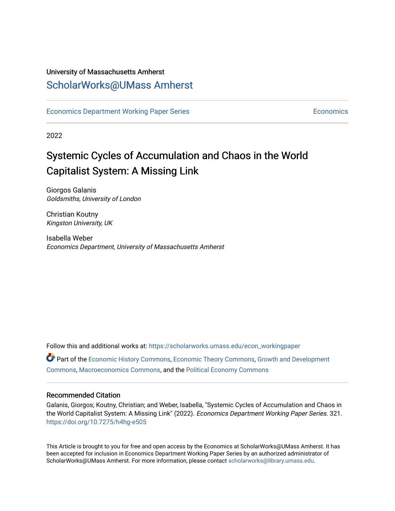#### University of Massachusetts Amherst [ScholarWorks@UMass Amherst](https://scholarworks.umass.edu/)

[Economics Department Working Paper Series](https://scholarworks.umass.edu/econ_workingpaper) **Economics** [Economics](https://scholarworks.umass.edu/economics) Economics

2022

# Systemic Cycles of Accumulation and Chaos in the World Capitalist System: A Missing Link

Giorgos Galanis Goldsmiths, University of London

Christian Koutny Kingston University, UK

Isabella Weber Economics Department, University of Massachusetts Amherst

Follow this and additional works at: [https://scholarworks.umass.edu/econ\\_workingpaper](https://scholarworks.umass.edu/econ_workingpaper?utm_source=scholarworks.umass.edu%2Fecon_workingpaper%2F321&utm_medium=PDF&utm_campaign=PDFCoverPages)  Part of the [Economic History Commons](https://network.bepress.com/hgg/discipline/343?utm_source=scholarworks.umass.edu%2Fecon_workingpaper%2F321&utm_medium=PDF&utm_campaign=PDFCoverPages), [Economic Theory Commons,](https://network.bepress.com/hgg/discipline/344?utm_source=scholarworks.umass.edu%2Fecon_workingpaper%2F321&utm_medium=PDF&utm_campaign=PDFCoverPages) [Growth and Development](https://network.bepress.com/hgg/discipline/346?utm_source=scholarworks.umass.edu%2Fecon_workingpaper%2F321&utm_medium=PDF&utm_campaign=PDFCoverPages) [Commons](https://network.bepress.com/hgg/discipline/346?utm_source=scholarworks.umass.edu%2Fecon_workingpaper%2F321&utm_medium=PDF&utm_campaign=PDFCoverPages), [Macroeconomics Commons,](https://network.bepress.com/hgg/discipline/350?utm_source=scholarworks.umass.edu%2Fecon_workingpaper%2F321&utm_medium=PDF&utm_campaign=PDFCoverPages) and the [Political Economy Commons](https://network.bepress.com/hgg/discipline/352?utm_source=scholarworks.umass.edu%2Fecon_workingpaper%2F321&utm_medium=PDF&utm_campaign=PDFCoverPages) 

#### Recommended Citation

Galanis, Giorgos; Koutny, Christian; and Weber, Isabella, "Systemic Cycles of Accumulation and Chaos in the World Capitalist System: A Missing Link" (2022). Economics Department Working Paper Series. 321. <https://doi.org/10.7275/h4hg-e505>

This Article is brought to you for free and open access by the Economics at ScholarWorks@UMass Amherst. It has been accepted for inclusion in Economics Department Working Paper Series by an authorized administrator of ScholarWorks@UMass Amherst. For more information, please contact [scholarworks@library.umass.edu.](mailto:scholarworks@library.umass.edu)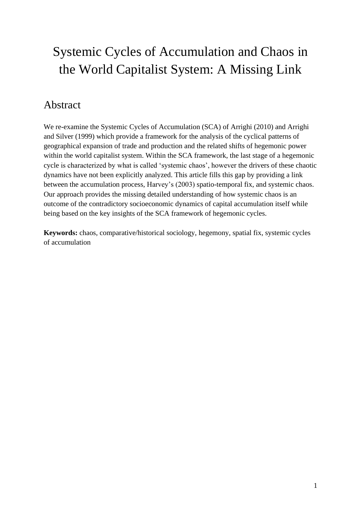# Systemic Cycles of Accumulation and Chaos in the World Capitalist System: A Missing Link

## Abstract

We re-examine the Systemic Cycles of Accumulation (SCA) of Arrighi (2010) and Arrighi and Silver (1999) which provide a framework for the analysis of the cyclical patterns of geographical expansion of trade and production and the related shifts of hegemonic power within the world capitalist system. Within the SCA framework, the last stage of a hegemonic cycle is characterized by what is called 'systemic chaos', however the drivers of these chaotic dynamics have not been explicitly analyzed. This article fills this gap by providing a link between the accumulation process, Harvey's (2003) spatio-temporal fix, and systemic chaos. Our approach provides the missing detailed understanding of how systemic chaos is an outcome of the contradictory socioeconomic dynamics of capital accumulation itself while being based on the key insights of the SCA framework of hegemonic cycles.

**Keywords:** chaos, comparative/historical sociology, hegemony, spatial fix, systemic cycles of accumulation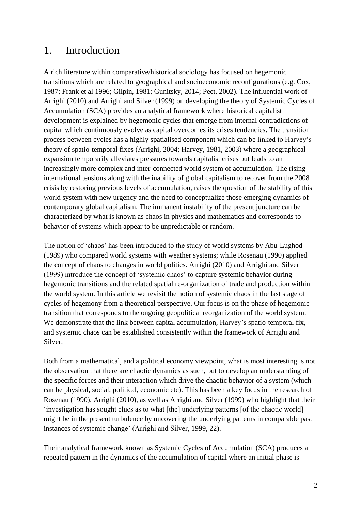### 1. Introduction

A rich literature within comparative/historical sociology has focused on hegemonic transitions which are related to geographical and socioeconomic reconfigurations (e.g. Cox, 1987; Frank et al 1996; Gilpin, 1981; Gunitsky, 2014; Peet, 2002). The influential work of Arrighi (2010) and Arrighi and Silver (1999) on developing the theory of Systemic Cycles of Accumulation (SCA) provides an analytical framework where historical capitalist development is explained by hegemonic cycles that emerge from internal contradictions of capital which continuously evolve as capital overcomes its crises tendencies. The transition process between cycles has a highly spatialised component which can be linked to Harvey's theory of spatio-temporal fixes (Arrighi, 2004; Harvey, 1981, 2003) where a geographical expansion temporarily alleviates pressures towards capitalist crises but leads to an increasingly more complex and inter-connected world system of accumulation. The rising international tensions along with the inability of global capitalism to recover from the 2008 crisis by restoring previous levels of accumulation, raises the question of the stability of this world system with new urgency and the need to conceptualize those emerging dynamics of contemporary global capitalism. The immanent instability of the present juncture can be characterized by what is known as chaos in physics and mathematics and corresponds to behavior of systems which appear to be unpredictable or random.

The notion of 'chaos' has been introduced to the study of world systems by Abu-Lughod (1989) who compared world systems with weather systems; while Rosenau (1990) applied the concept of chaos to changes in world politics. Arrighi (2010) and Arrighi and Silver (1999) introduce the concept of 'systemic chaos' to capture systemic behavior during hegemonic transitions and the related spatial re-organization of trade and production within the world system. In this article we revisit the notion of systemic chaos in the last stage of cycles of hegemony from a theoretical perspective. Our focus is on the phase of hegemonic transition that corresponds to the ongoing geopolitical reorganization of the world system. We demonstrate that the link between capital accumulation, Harvey's spatio-temporal fix, and systemic chaos can be established consistently within the framework of Arrighi and Silver.

Both from a mathematical, and a political economy viewpoint, what is most interesting is not the observation that there are chaotic dynamics as such, but to develop an understanding of the specific forces and their interaction which drive the chaotic behavior of a system (which can be physical, social, political, economic etc). This has been a key focus in the research of Rosenau (1990), Arrighi (2010), as well as Arrighi and Silver (1999) who highlight that their 'investigation has sought clues as to what [the] underlying patterns [of the chaotic world] might be in the present turbulence by uncovering the underlying patterns in comparable past instances of systemic change' (Arrighi and Silver, 1999, 22).

Their analytical framework known as Systemic Cycles of Accumulation (SCA) produces a repeated pattern in the dynamics of the accumulation of capital where an initial phase is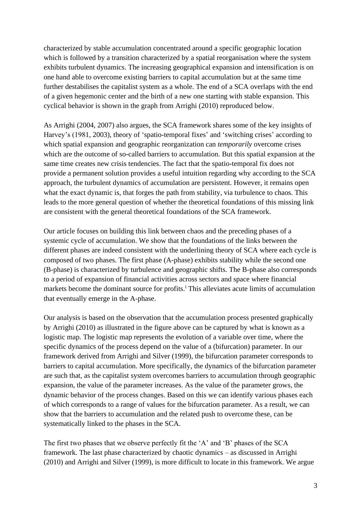characterized by stable accumulation concentrated around a specific geographic location which is followed by a transition characterized by a spatial reorganisation where the system exhibits turbulent dynamics. The increasing geographical expansion and intensification is on one hand able to overcome existing barriers to capital accumulation but at the same time further destabilises the capitalist system as a whole. The end of a SCA overlaps with the end of a given hegemonic center and the birth of a new one starting with stable expansion. This cyclical behavior is shown in the graph from Arrighi (2010) reproduced below.

As Arrighi (2004, 2007) also argues, the SCA framework shares some of the key insights of Harvey's (1981, 2003), theory of 'spatio-temporal fixes' and 'switching crises' according to which spatial expansion and geographic reorganization can *temporarily* overcome crises which are the outcome of so-called barriers to accumulation. But this spatial expansion at the same time creates new crisis tendencies. The fact that the spatio-temporal fix does not provide a permanent solution provides a useful intuition regarding why according to the SCA approach, the turbulent dynamics of accumulation are persistent. However, it remains open what the exact dynamic is, that forges the path from stability, via turbulence to chaos. This leads to the more general question of whether the theoretical foundations of this missing link are consistent with the general theoretical foundations of the SCA framework.

Our article focuses on building this link between chaos and the preceding phases of a systemic cycle of accumulation. We show that the foundations of the links between the different phases are indeed consistent with the underlining theory of SCA where each cycle is composed of two phases. The first phase (A-phase) exhibits stability while the second one (B-phase) is characterized by turbulence and geographic shifts. The B-phase also corresponds to a period of expansion of financial activities across sectors and space where financial markets become the dominant source for profits.<sup>1</sup> This alleviates acute limits of accumulation that eventually emerge in the A-phase.

Our analysis is based on the observation that the accumulation process presented graphically by Arrighi (2010) as illustrated in the figure above can be captured by what is known as a logistic map. The logistic map represents the evolution of a variable over time, where the specific dynamics of the process depend on the value of a (bifurcation) parameter. In our framework derived from Arrighi and Silver (1999), the bifurcation parameter corresponds to barriers to capital accumulation. More specifically, the dynamics of the bifurcation parameter are such that, as the capitalist system overcomes barriers to accumulation through geographic expansion, the value of the parameter increases. As the value of the parameter grows, the dynamic behavior of the process changes. Based on this we can identify various phases each of which corresponds to a range of values for the bifurcation parameter. As a result, we can show that the barriers to accumulation and the related push to overcome these, can be systematically linked to the phases in the SCA.

The first two phases that we observe perfectly fit the 'A' and 'B' phases of the SCA framework. The last phase characterized by chaotic dynamics – as discussed in Arrighi (2010) and Arrighi and Silver (1999), is more difficult to locate in this framework. We argue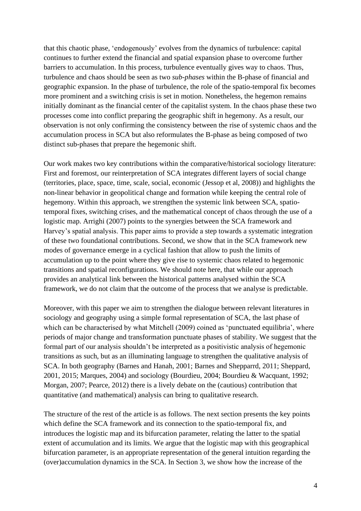that this chaotic phase, 'endogenously' evolves from the dynamics of turbulence: capital continues to further extend the financial and spatial expansion phase to overcome further barriers to accumulation. In this process, turbulence eventually gives way to chaos. Thus, turbulence and chaos should be seen as two *sub-phases* within the B-phase of financial and geographic expansion. In the phase of turbulence, the role of the spatio-temporal fix becomes more prominent and a switching crisis is set in motion. Nonetheless, the hegemon remains initially dominant as the financial center of the capitalist system. In the chaos phase these two processes come into conflict preparing the geographic shift in hegemony. As a result, our observation is not only confirming the consistency between the rise of systemic chaos and the accumulation process in SCA but also reformulates the B-phase as being composed of two distinct sub-phases that prepare the hegemonic shift.

Our work makes two key contributions within the comparative/historical sociology literature: First and foremost, our reinterpretation of SCA integrates different layers of social change (territories, place, space, time, scale, social, economic (Jessop et al, 2008)) and highlights the non-linear behavior in geopolitical change and formation while keeping the central role of hegemony. Within this approach, we strengthen the systemic link between SCA, spatiotemporal fixes, switching crises, and the mathematical concept of chaos through the use of a logistic map. Arrighi (2007) points to the synergies between the SCA framework and Harvey's spatial analysis. This paper aims to provide a step towards a systematic integration of these two foundational contributions. Second, we show that in the SCA framework new modes of governance emerge in a cyclical fashion that allow to push the limits of accumulation up to the point where they give rise to systemic chaos related to hegemonic transitions and spatial reconfigurations. We should note here, that while our approach provides an analytical link between the historical patterns analysed within the SCA framework, we do not claim that the outcome of the process that we analyse is predictable.

Moreover, with this paper we aim to strengthen the dialogue between relevant literatures in sociology and geography using a simple formal representation of SCA, the last phase of which can be characterised by what Mitchell (2009) coined as 'punctuated equilibria', where periods of major change and transformation punctuate phases of stability. We suggest that the formal part of our analysis shouldn't be interpreted as a positivistic analysis of hegemonic transitions as such, but as an illuminating language to strengthen the qualitative analysis of SCA. In both geography (Barnes and Hanah, 2001; Barnes and Shepparrd, 2011; Sheppard, 2001, 2015; Marques, 2004) and sociology (Bourdieu, 2004; Bourdieu & Wacquant, 1992; Morgan, 2007; Pearce, 2012) there is a lively debate on the (cautious) contribution that quantitative (and mathematical) analysis can bring to qualitative research.

The structure of the rest of the article is as follows. The next section presents the key points which define the SCA framework and its connection to the spatio-temporal fix, and introduces the logistic map and its bifurcation parameter, relating the latter to the spatial extent of accumulation and its limits. We argue that the logistic map with this geographical bifurcation parameter, is an appropriate representation of the general intuition regarding the (over)accumulation dynamics in the SCA. In Section 3, we show how the increase of the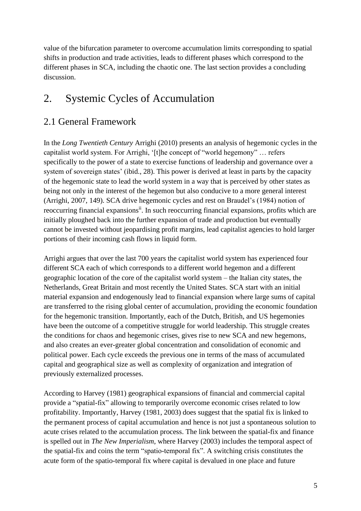value of the bifurcation parameter to overcome accumulation limits corresponding to spatial shifts in production and trade activities, leads to different phases which correspond to the different phases in SCA, including the chaotic one. The last section provides a concluding discussion.

# 2. Systemic Cycles of Accumulation

### 2.1 General Framework

In the *Long Twentieth Century* Arrighi (2010) presents an analysis of hegemonic cycles in the capitalist world system. For Arrighi, '[t]he concept of "world hegemony" … refers specifically to the power of a state to exercise functions of leadership and governance over a system of sovereign states' (ibid., 28). This power is derived at least in parts by the capacity of the hegemonic state to lead the world system in a way that is perceived by other states as being not only in the interest of the hegemon but also conducive to a more general interest (Arrighi, 2007, 149). SCA drive hegemonic cycles and rest on Braudel's (1984) notion of reoccurring financial expansions<sup>ii</sup>. In such reoccurring financial expansions, profits which are initially ploughed back into the further expansion of trade and production but eventually cannot be invested without jeopardising profit margins, lead capitalist agencies to hold larger portions of their incoming cash flows in liquid form.

Arrighi argues that over the last 700 years the capitalist world system has experienced four different SCA each of which corresponds to a different world hegemon and a different geographic location of the core of the capitalist world system – the Italian city states, the Netherlands, Great Britain and most recently the United States. SCA start with an initial material expansion and endogenously lead to financial expansion where large sums of capital are transferred to the rising global center of accumulation, providing the economic foundation for the hegemonic transition. Importantly, each of the Dutch, British, and US hegemonies have been the outcome of a competitive struggle for world leadership. This struggle creates the conditions for chaos and hegemonic crises, gives rise to new SCA and new hegemons, and also creates an ever-greater global concentration and consolidation of economic and political power. Each cycle exceeds the previous one in terms of the mass of accumulated capital and geographical size as well as complexity of organization and integration of previously externalized processes.

According to Harvey (1981) geographical expansions of financial and commercial capital provide a "spatial-fix" allowing to temporarily overcome economic crises related to low profitability. Importantly, Harvey (1981, 2003) does suggest that the spatial fix is linked to the permanent process of capital accumulation and hence is not just a spontaneous solution to acute crises related to the accumulation process. The link between the spatial-fix and finance is spelled out in *The New Imperialism*, where Harvey (2003) includes the temporal aspect of the spatial-fix and coins the term "spatio-temporal fix". A switching crisis constitutes the acute form of the spatio-temporal fix where capital is devalued in one place and future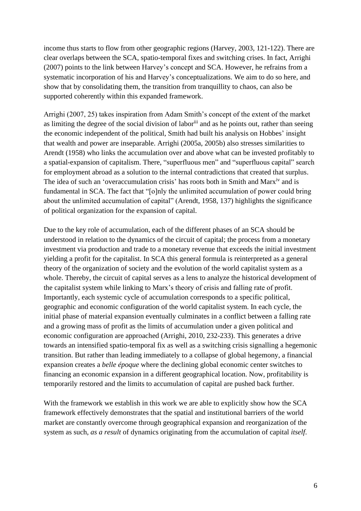income thus starts to flow from other geographic regions (Harvey, 2003, 121-122). There are clear overlaps between the SCA, spatio-temporal fixes and switching crises. In fact, Arrighi (2007) points to the link between Harvey's concept and SCA. However, he refrains from a systematic incorporation of his and Harvey's conceptualizations. We aim to do so here, and show that by consolidating them, the transition from tranquillity to chaos, can also be supported coherently within this expanded framework.

Arrighi (2007, 25) takes inspiration from Adam Smith's concept of the extent of the market as limiting the degree of the social division of labor<sup>iii</sup> and as he points out, rather than seeing the economic independent of the political, Smith had built his analysis on Hobbes' insight that wealth and power are inseparable. Arrighi (2005a, 2005b) also stresses similarities to Arendt (1958) who links the accumulation over and above what can be invested profitably to a spatial-expansion of capitalism. There, "superfluous men" and "superfluous capital" search for employment abroad as a solution to the internal contradictions that created that surplus. The idea of such an 'overaccumulation crisis' has roots both in Smith and Marx<sup>iv</sup> and is fundamental in SCA. The fact that "[o]nly the unlimited accumulation of power could bring about the unlimited accumulation of capital" (Arendt, 1958, 137) highlights the significance of political organization for the expansion of capital.

Due to the key role of accumulation, each of the different phases of an SCA should be understood in relation to the dynamics of the circuit of capital; the process from a monetary investment via production and trade to a monetary revenue that exceeds the initial investment yielding a profit for the capitalist. In SCA this general formula is reinterpreted as a general theory of the organization of society and the evolution of the world capitalist system as a whole. Thereby, the circuit of capital serves as a lens to analyze the historical development of the capitalist system while linking to Marx's theory of crisis and falling rate of profit. Importantly, each systemic cycle of accumulation corresponds to a specific political, geographic and economic configuration of the world capitalist system. In each cycle, the initial phase of material expansion eventually culminates in a conflict between a falling rate and a growing mass of profit as the limits of accumulation under a given political and economic configuration are approached (Arrighi, 2010, 232-233). This generates a drive towards an intensified spatio-temporal fix as well as a switching crisis signalling a hegemonic transition. But rather than leading immediately to a collapse of global hegemony, a financial expansion creates a *belle époque* where the declining global economic center switches to financing an economic expansion in a different geographical location. Now, profitability is temporarily restored and the limits to accumulation of capital are pushed back further.

With the framework we establish in this work we are able to explicitly show how the SCA framework effectively demonstrates that the spatial and institutional barriers of the world market are constantly overcome through geographical expansion and reorganization of the system as such, *as a result* of dynamics originating from the accumulation of capital *itself*.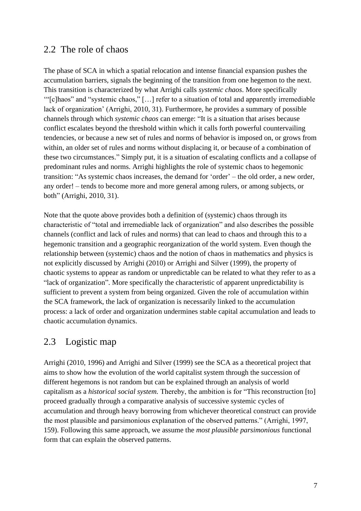#### 2.2 The role of chaos

The phase of SCA in which a spatial relocation and intense financial expansion pushes the accumulation barriers, signals the beginning of the transition from one hegemon to the next. This transition is characterized by what Arrighi calls *systemic chaos*. More specifically '"[c]haos" and "systemic chaos," […] refer to a situation of total and apparently irremediable lack of organization' (Arrighi, 2010, 31). Furthermore, he provides a summary of possible channels through which *systemic chaos* can emerge: "It is a situation that arises because conflict escalates beyond the threshold within which it calls forth powerful countervailing tendencies, or because a new set of rules and norms of behavior is imposed on, or grows from within, an older set of rules and norms without displacing it, or because of a combination of these two circumstances." Simply put, it is a situation of escalating conflicts and a collapse of predominant rules and norms. Arrighi highlights the role of systemic chaos to hegemonic transition: "As systemic chaos increases, the demand for 'order' – the old order, a new order, any order! – tends to become more and more general among rulers, or among subjects, or both" (Arrighi, 2010, 31).

Note that the quote above provides both a definition of (systemic) chaos through its characteristic of "total and irremediable lack of organization" and also describes the possible channels (conflict and lack of rules and norms) that can lead to chaos and through this to a hegemonic transition and a geographic reorganization of the world system. Even though the relationship between (systemic) chaos and the notion of chaos in mathematics and physics is not explicitly discussed by Arrighi (2010) or Arrighi and Silver (1999), the property of chaotic systems to appear as random or unpredictable can be related to what they refer to as a "lack of organization". More specifically the characteristic of apparent unpredictability is sufficient to prevent a system from being organized. Given the role of accumulation within the SCA framework, the lack of organization is necessarily linked to the accumulation process: a lack of order and organization undermines stable capital accumulation and leads to chaotic accumulation dynamics.

#### 2.3 Logistic map

Arrighi (2010, 1996) and Arrighi and Silver (1999) see the SCA as a theoretical project that aims to show how the evolution of the world capitalist system through the succession of different hegemons is not random but can be explained through an analysis of world capitalism as a *historical social system.* Thereby, the ambition is for "This reconstruction [to] proceed gradually through a comparative analysis of successive systemic cycles of accumulation and through heavy borrowing from whichever theoretical construct can provide the most plausible and parsimonious explanation of the observed patterns." (Arrighi, 1997, 159). Following this same approach, we assume the *most plausible parsimonious* functional form that can explain the observed patterns.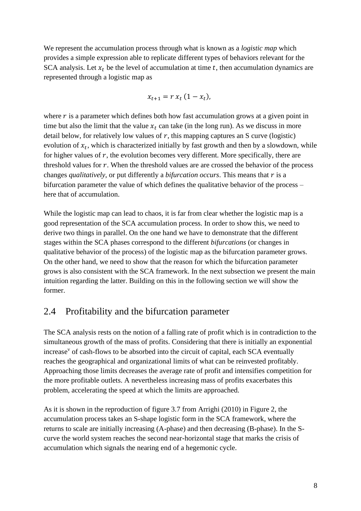We represent the accumulation process through what is known as a *logistic map* which provides a simple expression able to replicate different types of behaviors relevant for the SCA analysis. Let  $x_t$  be the level of accumulation at time t, then accumulation dynamics are represented through a logistic map as

$$
x_{t+1}=r x_t (1-x_t),
$$

where  $r$  is a parameter which defines both how fast accumulation grows at a given point in time but also the limit that the value  $x_t$  can take (in the long run). As we discuss in more detail below, for relatively low values of  $r$ , this mapping captures an S curve (logistic) evolution of  $x_t$ , which is characterized initially by fast growth and then by a slowdown, while for higher values of  $r$ , the evolution becomes very different. More specifically, there are threshold values for  $r$ . When the threshold values are are crossed the behavior of the process changes *qualitatively*, or put differently a *bifurcation occurs*. This means that r is a bifurcation parameter the value of which defines the qualitative behavior of the process – here that of accumulation.

While the logistic map can lead to chaos, it is far from clear whether the logistic map is a good representation of the SCA accumulation process. In order to show this, we need to derive two things in parallel. On the one hand we have to demonstrate that the different stages within the SCA phases correspond to the different *bifurcations* (or changes in qualitative behavior of the process) of the logistic map as the bifurcation parameter grows. On the other hand, we need to show that the reason for which the bifurcation parameter grows is also consistent with the SCA framework. In the next subsection we present the main intuition regarding the latter. Building on this in the following section we will show the former.

#### 2.4 Profitability and the bifurcation parameter

The SCA analysis rests on the notion of a falling rate of profit which is in contradiction to the simultaneous growth of the mass of profits. Considering that there is initially an exponential increase<sup>v</sup> of cash-flows to be absorbed into the circuit of capital, each SCA eventually reaches the geographical and organizational limits of what can be reinvested profitably. Approaching those limits decreases the average rate of profit and intensifies competition for the more profitable outlets. A nevertheless increasing mass of profits exacerbates this problem, accelerating the speed at which the limits are approached.

As it is shown in the reproduction of figure 3.7 from Arrighi (2010) in Figure 2, the accumulation process takes an S-shape logistic form in the SCA framework, where the returns to scale are initially increasing (A-phase) and then decreasing (B-phase). In the Scurve the world system reaches the second near-horizontal stage that marks the crisis of accumulation which signals the nearing end of a hegemonic cycle.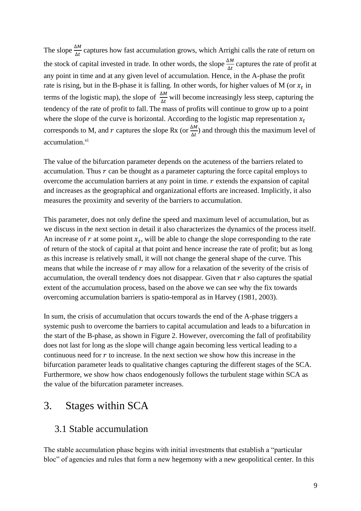The slope  $\frac{\Delta M}{\Delta t}$  captures how fast accumulation grows, which Arrighi calls the rate of return on the stock of capital invested in trade. In other words, the slope  $\frac{\Delta M}{\Delta t}$  captures the rate of profit at any point in time and at any given level of accumulation. Hence, in the A-phase the profit rate is rising, but in the B-phase it is falling. In other words, for higher values of M (or  $x_t$  in terms of the logistic map), the slope of  $\frac{\Delta M}{\Delta t}$  will become increasingly less steep, capturing the tendency of the rate of profit to fall. The mass of profits will continue to grow up to a point where the slope of the curve is horizontal. According to the logistic map representation  $x_t$ corresponds to M, and r captures the slope Rx (or  $\frac{\Delta M}{\Delta t}$ ) and through this the maximum level of accumulation.<sup>vi</sup>

The value of the bifurcation parameter depends on the acuteness of the barriers related to accumulation. Thus  $r$  can be thought as a parameter capturing the force capital employs to overcome the accumulation barriers at any point in time.  $r$  extends the expansion of capital and increases as the geographical and organizational efforts are increased. Implicitly, it also measures the proximity and severity of the barriers to accumulation.

This parameter, does not only define the speed and maximum level of accumulation, but as we discuss in the next section in detail it also characterizes the dynamics of the process itself. An increase of  $r$  at some point  $x_t$ , will be able to change the slope corresponding to the rate of return of the stock of capital at that point and hence increase the rate of profit; but as long as this increase is relatively small, it will not change the general shape of the curve. This means that while the increase of  $r$  may allow for a relaxation of the severity of the crisis of accumulation, the overall tendency does not disappear. Given that  $r$  also captures the spatial extent of the accumulation process, based on the above we can see why the fix towards overcoming accumulation barriers is spatio-temporal as in Harvey (1981, 2003).

In sum, the crisis of accumulation that occurs towards the end of the A-phase triggers a systemic push to overcome the barriers to capital accumulation and leads to a bifurcation in the start of the B-phase, as shown in Figure 2. However, overcoming the fall of profitability does not last for long as the slope will change again becoming less vertical leading to a continuous need for  $r$  to increase. In the next section we show how this increase in the bifurcation parameter leads to qualitative changes capturing the different stages of the SCA. Furthermore, we show how chaos endogenously follows the turbulent stage within SCA as the value of the bifurcation parameter increases.

### 3. Stages within SCA

#### 3.1 Stable accumulation

The stable accumulation phase begins with initial investments that establish a "particular bloc" of agencies and rules that form a new hegemony with a new geopolitical center. In this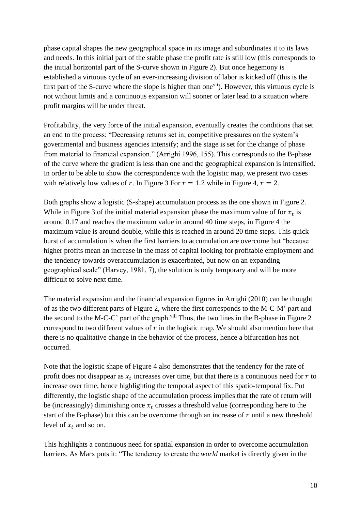phase capital shapes the new geographical space in its image and subordinates it to its laws and needs. In this initial part of the stable phase the profit rate is still low (this corresponds to the initial horizontal part of the S-curve shown in Figure 2). But once hegemony is established a virtuous cycle of an ever-increasing division of labor is kicked off (this is the first part of the S-curve where the slope is higher than one<sup>vii</sup>). However, this virtuous cycle is not without limits and a continuous expansion will sooner or later lead to a situation where profit margins will be under threat.

Profitability, the very force of the initial expansion, eventually creates the conditions that set an end to the process: "Decreasing returns set in; competitive pressures on the system's governmental and business agencies intensify; and the stage is set for the change of phase from material to financial expansion." (Arrighi 1996, 155). This corresponds to the B-phase of the curve where the gradient is less than one and the geographical expansion is intensified. In order to be able to show the correspondence with the logistic map, we present two cases with relatively low values of r. In Figure 3 For  $r = 1.2$  while in Figure 4,  $r = 2$ .

Both graphs show a logistic (S-shape) accumulation process as the one shown in Figure 2. While in Figure 3 of the initial material expansion phase the maximum value of for  $x_t$  is around 0.17 and reaches the maximum value in around 40 time steps, in Figure 4 the maximum value is around double, while this is reached in around 20 time steps. This quick burst of accumulation is when the first barriers to accumulation are overcome but "because higher profits mean an increase in the mass of capital looking for profitable employment and the tendency towards overaccumulation is exacerbated, but now on an expanding geographical scale" (Harvey, 1981, 7), the solution is only temporary and will be more difficult to solve next time.

The material expansion and the financial expansion figures in Arrighi (2010) can be thought of as the two different parts of Figure 2, where the first corresponds to the M-C-M' part and the second to the M-C-C' part of the graph.<sup>viii</sup> Thus, the two lines in the B-phase in Figure 2 correspond to two different values of  $r$  in the logistic map. We should also mention here that there is no qualitative change in the behavior of the process, hence a bifurcation has not occurred.

Note that the logistic shape of Figure 4 also demonstrates that the tendency for the rate of profit does not disappear as  $x_t$  increases over time, but that there is a continuous need for  $r$  to increase over time, hence highlighting the temporal aspect of this spatio-temporal fix. Put differently, the logistic shape of the accumulation process implies that the rate of return will be (increasingly) diminishing once  $x_t$  crosses a threshold value (corresponding here to the start of the B-phase) but this can be overcome through an increase of  $r$  until a new threshold level of  $x_t$  and so on.

This highlights a continuous need for spatial expansion in order to overcome accumulation barriers. As Marx puts it: "The tendency to create the *world* market is directly given in the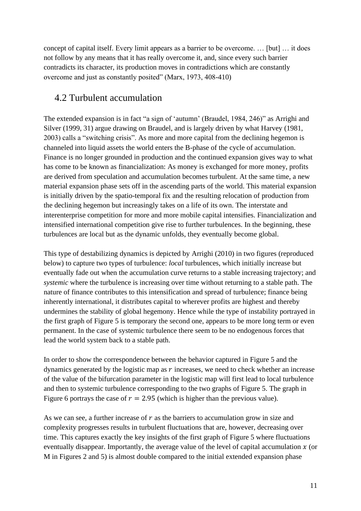concept of capital itself. Every limit appears as a barrier to be overcome. … [but] … it does not follow by any means that it has really overcome it, and, since every such barrier contradicts its character, its production moves in contradictions which are constantly overcome and just as constantly posited" (Marx, 1973, 408-410)

#### 4.2 Turbulent accumulation

The extended expansion is in fact "a sign of 'autumn' (Braudel, 1984, 246)" as Arrighi and Silver (1999, 31) argue drawing on Braudel, and is largely driven by what Harvey (1981, 2003) calls a "switching crisis". As more and more capital from the declining hegemon is channeled into liquid assets the world enters the B-phase of the cycle of accumulation. Finance is no longer grounded in production and the continued expansion gives way to what has come to be known as financialization: As money is exchanged for more money, profits are derived from speculation and accumulation becomes turbulent. At the same time, a new material expansion phase sets off in the ascending parts of the world. This material expansion is initially driven by the spatio-temporal fix and the resulting relocation of production from the declining hegemon but increasingly takes on a life of its own. The interstate and interenterprise competition for more and more mobile capital intensifies. Financialization and intensified international competition give rise to further turbulences. In the beginning, these turbulences are local but as the dynamic unfolds, they eventually become global.

This type of destabilizing dynamics is depicted by Arrighi (2010) in two figures (reproduced below) to capture two types of turbulence: *local* turbulences, which initially increase but eventually fade out when the accumulation curve returns to a stable increasing trajectory; and *systemic* where the turbulence is increasing over time without returning to a stable path. The nature of finance contributes to this intensification and spread of turbulence; finance being inherently international, it distributes capital to wherever profits are highest and thereby undermines the stability of global hegemony. Hence while the type of instability portrayed in the first graph of Figure 5 is temporary the second one, appears to be more long term or even permanent. In the case of systemic turbulence there seem to be no endogenous forces that lead the world system back to a stable path.

In order to show the correspondence between the behavior captured in Figure 5 and the dynamics generated by the logistic map as  $r$  increases, we need to check whether an increase of the value of the bifurcation parameter in the logistic map will first lead to local turbulence and then to systemic turbulence corresponding to the two graphs of Figure 5. The graph in Figure 6 portrays the case of  $r = 2.95$  (which is higher than the previous value).

As we can see, a further increase of  $r$  as the barriers to accumulation grow in size and complexity progresses results in turbulent fluctuations that are, however, decreasing over time. This captures exactly the key insights of the first graph of Figure 5 where fluctuations eventually disappear. Importantly, the average value of the level of capital accumulation  $x$  (or M in Figures 2 and 5) is almost double compared to the initial extended expansion phase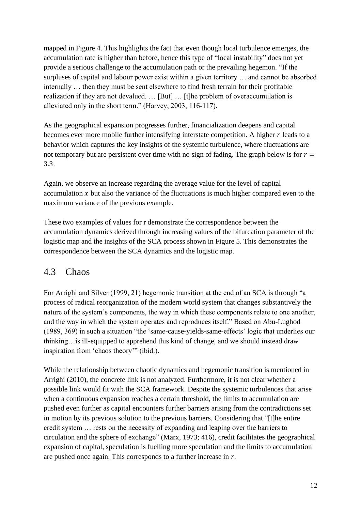mapped in Figure 4. This highlights the fact that even though local turbulence emerges, the accumulation rate is higher than before, hence this type of "local instability" does not yet provide a serious challenge to the accumulation path or the prevailing hegemon. "If the surpluses of capital and labour power exist within a given territory … and cannot be absorbed internally … then they must be sent elsewhere to find fresh terrain for their profitable realization if they are not devalued. … [But] … [t]he problem of overaccumulation is alleviated only in the short term." (Harvey, 2003, 116-117).

As the geographical expansion progresses further, financialization deepens and capital becomes ever more mobile further intensifying interstate competition. A higher  $r$  leads to a behavior which captures the key insights of the systemic turbulence, where fluctuations are not temporary but are persistent over time with no sign of fading. The graph below is for  $r =$ 3.3.

Again, we observe an increase regarding the average value for the level of capital accumulation  $x$  but also the variance of the fluctuations is much higher compared even to the maximum variance of the previous example.

These two examples of values for r demonstrate the correspondence between the accumulation dynamics derived through increasing values of the bifurcation parameter of the logistic map and the insights of the SCA process shown in Figure 5. This demonstrates the correspondence between the SCA dynamics and the logistic map.

#### 4.3 Chaos

For Arrighi and Silver (1999, 21) hegemonic transition at the end of an SCA is through "a process of radical reorganization of the modern world system that changes substantively the nature of the system's components, the way in which these components relate to one another, and the way in which the system operates and reproduces itself." Based on Abu-Lughod (1989, 369) in such a situation "the 'same-cause-yields-same-effects' logic that underlies our thinking…is ill-equipped to apprehend this kind of change, and we should instead draw inspiration from 'chaos theory'" (ibid.).

While the relationship between chaotic dynamics and hegemonic transition is mentioned in Arrighi (2010), the concrete link is not analyzed. Furthermore, it is not clear whether a possible link would fit with the SCA framework. Despite the systemic turbulences that arise when a continuous expansion reaches a certain threshold, the limits to accumulation are pushed even further as capital encounters further barriers arising from the contradictions set in motion by its previous solution to the previous barriers. Considering that "[t]he entire credit system … rests on the necessity of expanding and leaping over the barriers to circulation and the sphere of exchange" (Marx, 1973; 416), credit facilitates the geographical expansion of capital, speculation is fuelling more speculation and the limits to accumulation are pushed once again. This corresponds to a further increase in  $r$ .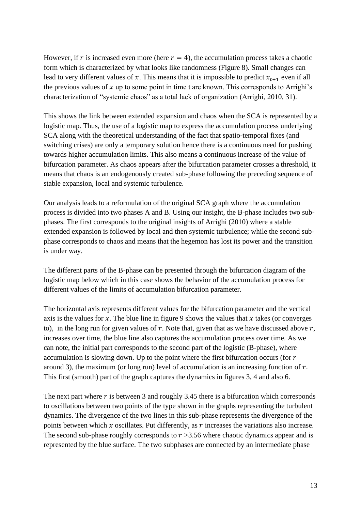However, if r is increased even more (here  $r = 4$ ), the accumulation process takes a chaotic form which is characterized by what looks like randomness (Figure 8). Small changes can lead to very different values of x. This means that it is impossible to predict  $x_{t+1}$  even if all the previous values of  $x$  up to some point in time t are known. This corresponds to Arrighi's characterization of "systemic chaos" as a total lack of organization (Arrighi, 2010, 31).

This shows the link between extended expansion and chaos when the SCA is represented by a logistic map. Thus, the use of a logistic map to express the accumulation process underlying SCA along with the theoretical understanding of the fact that spatio-temporal fixes (and switching crises) are only a temporary solution hence there is a continuous need for pushing towards higher accumulation limits. This also means a continuous increase of the value of bifurcation parameter. As chaos appears after the bifurcation parameter crosses a threshold, it means that chaos is an endogenously created sub-phase following the preceding sequence of stable expansion, local and systemic turbulence.

Our analysis leads to a reformulation of the original SCA graph where the accumulation process is divided into two phases A and B. Using our insight, the B-phase includes two subphases. The first corresponds to the original insights of Arrighi (2010) where a stable extended expansion is followed by local and then systemic turbulence; while the second subphase corresponds to chaos and means that the hegemon has lost its power and the transition is under way.

The different parts of the B-phase can be presented through the bifurcation diagram of the logistic map below which in this case shows the behavior of the accumulation process for different values of the limits of accumulation bifurcation parameter.

The horizontal axis represents different values for the bifurcation parameter and the vertical axis is the values for  $x$ . The blue line in figure 9 shows the values that  $x$  takes (or converges to), in the long run for given values of  $r$ . Note that, given that as we have discussed above  $r$ , increases over time, the blue line also captures the accumulation process over time. As we can note, the initial part corresponds to the second part of the logistic (B-phase), where accumulation is slowing down. Up to the point where the first bifurcation occurs (for  $r$ around 3), the maximum (or long run) level of accumulation is an increasing function of  $r$ . This first (smooth) part of the graph captures the dynamics in figures 3, 4 and also 6.

The next part where  $r$  is between 3 and roughly 3.45 there is a bifurcation which corresponds to oscillations between two points of the type shown in the graphs representing the turbulent dynamics. The divergence of the two lines in this sub-phase represents the divergence of the points between which  $x$  oscillates. Put differently, as  $r$  increases the variations also increase. The second sub-phase roughly corresponds to  $r > 3.56$  where chaotic dynamics appear and is represented by the blue surface. The two subphases are connected by an intermediate phase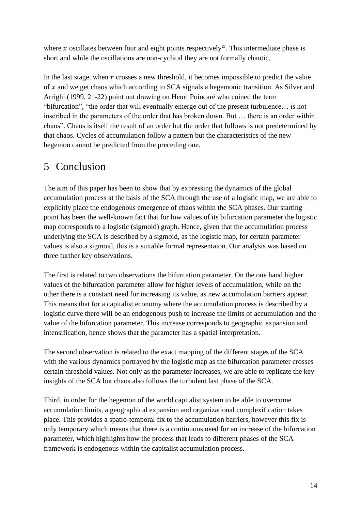where x oscillates between four and eight points respectively<sup>ix</sup>. This intermediate phase is short and while the oscillations are non-cyclical they are not formally chaotic.

In the last stage, when  $r$  crosses a new threshold, it becomes impossible to predict the value of  $x$  and we get chaos which according to SCA signals a hegemonic transition. As Silver and Arrighi (1999, 21-22) point out drawing on Henri Poincaré who coined the term "bifurcation", "the order that will eventually emerge out of the present turbulence… is not inscribed in the parameters of the order that has broken down. But … there is an order within chaos". Chaos is itself the result of an order but the order that follows is not predetermined by that chaos. Cycles of accumulation follow a pattern but the characteristics of the new hegemon cannot be predicted from the preceding one.

## 5 Conclusion

The aim of this paper has been to show that by expressing the dynamics of the global accumulation process at the basis of the SCA through the use of a logistic map, we are able to explicitly place the endogenous emergence of chaos within the SCA phases. Our starting point has been the well-known fact that for low values of its bifurcation parameter the logistic map corresponds to a logistic (sigmoid) graph. Hence, given that the accumulation process underlying the SCA is described by a sigmoid, as the logistic map, for certain parameter values is also a sigmoid, this is a suitable formal representaion. Our analysis was based on three further key observations.

The first is related to two observations the bifurcation parameter. On the one hand higher values of the bifurcation parameter allow for higher levels of accumulation, while on the other there is a constant need for increasing its value, as new accumulation barriers appear. This means that for a capitalist economy where the accumulation process is described by a logistic curve there will be an endogenous push to increase the limits of accumulation and the value of the bifurcation parameter. This increase corresponds to geographic expansion and intensification, hence shows that the parameter has a spatial interpretation.

The second observation is related to the exact mapping of the different stages of the SCA with the various dynamics portrayed by the logistic map as the bifurcation parameter crosses certain threshold values. Not only as the parameter increases, we are able to replicate the key insights of the SCA but chaos also follows the turbulent last phase of the SCA.

Third, in order for the hegemon of the world capitalist system to be able to overcome accumulation limits, a geographical expansion and organizational complexification takes place. This provides a spatio-temporal fix to the accumulation barriers, however this fix is only temporary which means that there is a continuous need for an increase of the bifurcation parameter, which highlights how the process that leads to different phases of the SCA framework is endogenous within the capitalist accumulation process.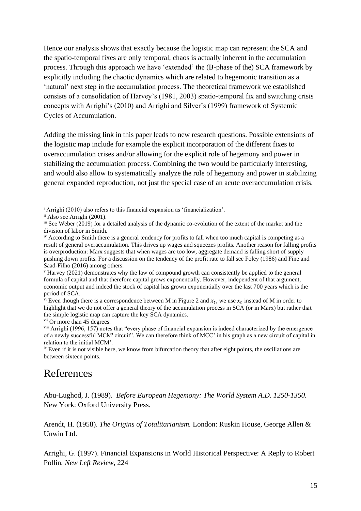Hence our analysis shows that exactly because the logistic map can represent the SCA and the spatio-temporal fixes are only temporal, chaos is actually inherent in the accumulation process. Through this approach we have 'extended' the (B-phase of the) SCA framework by explicitly including the chaotic dynamics which are related to hegemonic transition as a 'natural' next step in the accumulation process. The theoretical framework we established consists of a consolidation of Harvey's (1981, 2003) spatio-temporal fix and switching crisis concepts with Arrighi's (2010) and Arrighi and Silver's (1999) framework of Systemic Cycles of Accumulation.

Adding the missing link in this paper leads to new research questions. Possible extensions of the logistic map include for example the explicit incorporation of the different fixes to overaccumulation crises and/or allowing for the explicit role of hegemony and power in stabilizing the accumulation process. Combining the two would be particularly interesting, and would also allow to systematically analyze the role of hegemony and power in stabilizing general expanded reproduction, not just the special case of an acute overaccumulation crisis.

### References

Abu-Lughod, J. (1989). *Before European Hegemony: The World System A.D. 1250-1350.*  New York: Oxford University Press.

Arendt, H. (1958). *The Origins of Totalitarianism.* London: Ruskin House, George Allen & Unwin Ltd.

Arrighi, G. (1997). Financial Expansions in World Historical Perspective: A Reply to Robert Pollin*. New Left Review*, 224

<sup>&</sup>lt;sup>i</sup> Arrighi (2010) also refers to this financial expansion as 'financialization'.

ii Also see Arrighi (2001).

iii See Weber (2019) for a detailed analysis of the dynamic co-evolution of the extent of the market and the division of labor in Smith.

iv According to Smith there is a general tendency for profits to fall when too much capital is competing as a result of general overaccumulation. This drives up wages and squeezes profits. Another reason for falling profits is overproduction: Marx suggests that when wages are too low, aggregate demand is falling short of supply pushing down profits. For a discussion on the tendency of the profit rate to fall see Foley (1986) and Fine and Saad-Filho (2016) among others.

<sup>v</sup> Harvey (2021) demonstrates why the law of compound growth can consistently be applied to the general formula of capital and that therefore capital grows exponentially. However, independent of that argument, economic output and indeed the stock of capital has grown exponentially over the last 700 years which is the period of SCA.

<sup>&</sup>lt;sup>vi</sup> Even though there is a correspondence between M in Figure 2 and  $x_t$ , we use  $x_t$  instead of M in order to highlight that we do not offer a general theory of the accumulation process in SCA (or in Marx) but rather that the simple logistic map can capture the key SCA dynamics.

vii Or more than 45 degrees.

viii Arrighi (1996, 157) notes that "every phase of financial expansion is indeed characterized by the emergence of a newly successful MCM' circuit". We can therefore think of MCC' in his graph as a new circuit of capital in relation to the initial MCM'.

<sup>&</sup>lt;sup>ix</sup> Even if it is not visible here, we know from bifurcation theory that after eight points, the oscillations are between sixteen points.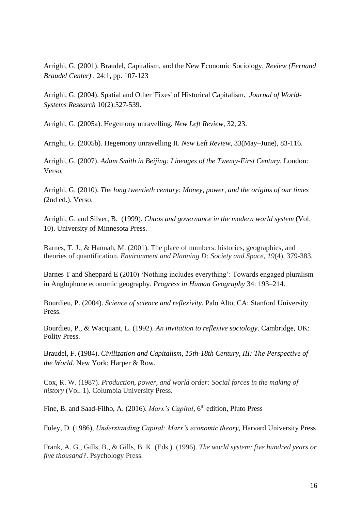Arrighi, G. (2001). Braudel, Capitalism, and the New Economic Sociology, *Review (Fernand Braudel Center) ,* 24:1, pp. 107-123

Arrighi, G. (2004). Spatial and Other 'Fixes' of Historical Capitalism. *Journal of World-Systems Research* 10(2):527-539.

Arrighi, G. (2005a). Hegemony unravelling. *New Left Review*, 32, 23.

Arrighi, G. (2005b). Hegemony unravelling II. *New Left Review*, 33(May–June), 83-116.

Arrighi, G. (2007). *Adam Smith in Beijing: Lineages of the Twenty-First Century*, London: Verso.

Arrighi, G. (2010). *The long twentieth century: Money, power, and the origins of our times* (2nd ed.). Verso.

Arrighi, G. and Silver, B. (1999). *Chaos and governance in the modern world system* (Vol. 10). University of Minnesota Press.

Barnes, T. J., & Hannah, M. (2001). The place of numbers: histories, geographies, and theories of quantification. *Environment and Planning D: Society and Space*, *19*(4), 379-383.

Barnes T and Sheppard E (2010) 'Nothing includes everything': Towards engaged pluralism in Anglophone economic geography. *Progress in Human Geography* 34: 193–214.

Bourdieu, P. (2004). *Science of science and reflexivity*. Palo Alto, CA: Stanford University Press.

Bourdieu, P., & Wacquant, L. (1992). *An invitation to reflexive sociology*. Cambridge, UK: Polity Press.

Braudel, F. (1984). *Civilization and Capitalism, 15th-18th Century, III: The Perspective of the World.* New York: Harper & Row.

Cox, R. W. (1987). *Production, power, and world order: Social forces in the making of history* (Vol. 1). Columbia University Press.

Fine, B. and Saad-Filho, A. (2016). *Marx's Capital*, 6<sup>th</sup> edition, Pluto Press

Foley, D. (1986), *Understanding Capital: Marx's economic theory*, Harvard University Press

Frank, A. G., Gills, B., & Gills, B. K. (Eds.). (1996). *The world system: five hundred years or five thousand?*. Psychology Press.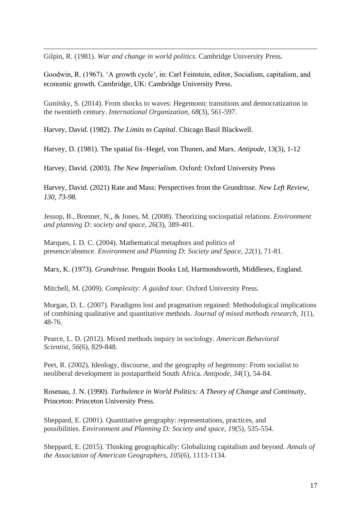Gilpin, R. (1981). *War and change in world politics*. Cambridge University Press.

Goodwin, R. (1967). 'A growth cycle', in: Carl Feinstein, editor, Socialism, capitalism, and economic growth. Cambridge, UK: Cambridge University Press.

Gunitsky, S. (2014). From shocks to waves: Hegemonic transitions and democratization in the twentieth century. *International Organization*, *68*(3), 561-597.

Harvey, David. (1982). *The Limits to Capital*. Chicago Basil Blackwell.

Harvey, D. (1981). The spatial fix–Hegel, von Thunen, and Marx. *Antipode*, 13(3), 1-12

Harvey, David. (2003). *The New Imperialism*. Oxford: Oxford University Press

Harvey, David. (2021) Rate and Mass: Perspectives from the Grundrisse. *New Left Review, 130, 73-98.*

Jessop, B., Brenner, N., & Jones, M. (2008). Theorizing sociospatial relations. *Environment and planning D: society and space*, *26*(3), 389-401.

Marques, I. D. C. (2004). Mathematical metaphors and politics of presence/absence. *Environment and Planning D: Society and Space*, *22*(1), 71-81.

Marx, K. (1973). *Grundrisse.* Penguin Books Ltd, Harmondsworth, Middlesex, England.

Mitchell, M. (2009). *Complexity: A guided tour*. Oxford University Press.

Morgan, D. L. (2007). Paradigms lost and pragmatism regained: Methodological implications of combining qualitative and quantitative methods. *Journal of mixed methods research*, *1*(1), 48-76.

Pearce, L. D. (2012). Mixed methods inquiry in sociology. *American Behavioral Scientist*, *56*(6), 829-848.

Peet, R. (2002). Ideology, discourse, and the geography of hegemony: From socialist to neoliberal development in postapartheid South Africa. *Antipode*, *34*(1), 54-84.

Rosenau, J. N. (1990). *Turbulence in World Politics: A Theory of Change and Continuity*, Princeton: Princeton University Press.

Sheppard, E. (2001). Quantitative geography: representations, practices, and possibilities. *Environment and Planning D: Society and space*, *19*(5), 535-554.

Sheppard, E. (2015). Thinking geographically: Globalizing capitalism and beyond. *Annals of the Association of American Geographers*, *105*(6), 1113-1134.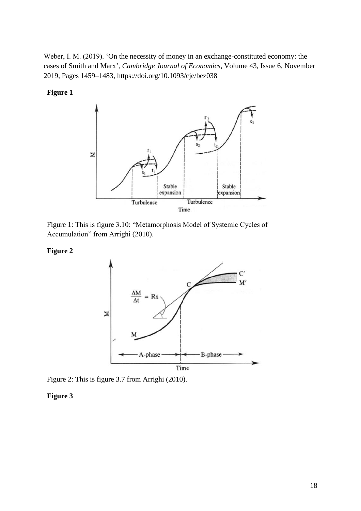Weber, I. M. (2019). 'On the necessity of money in an exchange-constituted economy: the cases of Smith and Marx', *Cambridge Journal of Economics*, Volume 43, Issue 6, November 2019, Pages 1459–1483,<https://doi.org/10.1093/cje/bez038>

**Figure 1**



Figure 1: This is figure 3.10: "Metamorphosis Model of Systemic Cycles of Accumulation" from Arrighi (2010).

#### **Figure 2**



Figure 2: This is figure 3.7 from Arrighi (2010).

#### **Figure 3**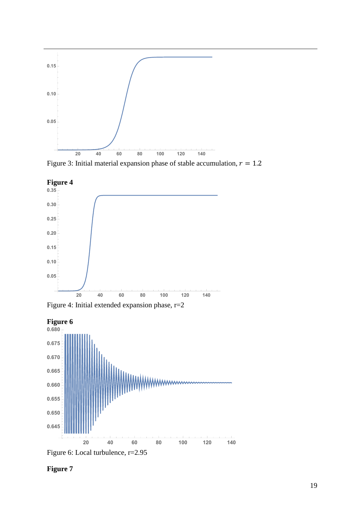

Figure 3: Initial material expansion phase of stable accumulation,  $r = 1.2$ 



Figure 4: Initial extended expansion phase, r=2





**Figure 7**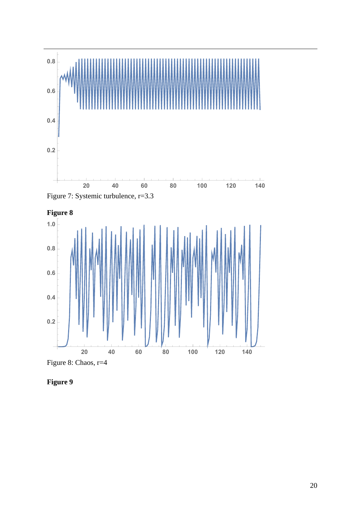